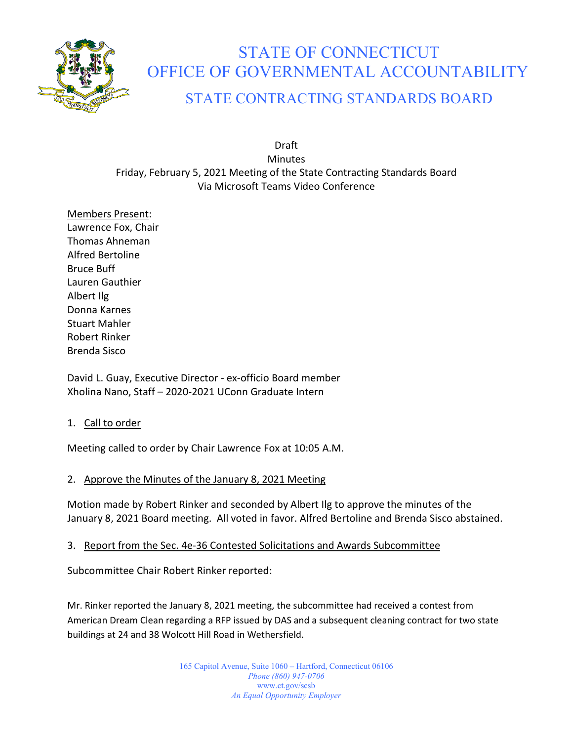

# STATE OF CONNECTICUT OFFICE OF GOVERNMENTAL ACCOUNTABILITY

# STATE CONTRACTING STANDARDS BOARD

Draft **Minutes** Friday, February 5, 2021 Meeting of the State Contracting Standards Board Via Microsoft Teams Video Conference

Members Present: Lawrence Fox, Chair Thomas Ahneman Alfred Bertoline Bruce Buff Lauren Gauthier Albert Ilg Donna Karnes Stuart Mahler Robert Rinker Brenda Sisco

David L. Guay, Executive Director - ex-officio Board member Xholina Nano, Staff – 2020-2021 UConn Graduate Intern

# 1. Call to order

Meeting called to order by Chair Lawrence Fox at 10:05 A.M.

# 2. Approve the Minutes of the January 8, 2021 Meeting

Motion made by Robert Rinker and seconded by Albert Ilg to approve the minutes of the January 8, 2021 Board meeting. All voted in favor. Alfred Bertoline and Brenda Sisco abstained.

# 3. Report from the Sec. 4e-36 Contested Solicitations and Awards Subcommittee

Subcommittee Chair Robert Rinker reported:

Mr. Rinker reported the January 8, 2021 meeting, the subcommittee had received a contest from American Dream Clean regarding a RFP issued by DAS and a subsequent cleaning contract for two state buildings at 24 and 38 Wolcott Hill Road in Wethersfield.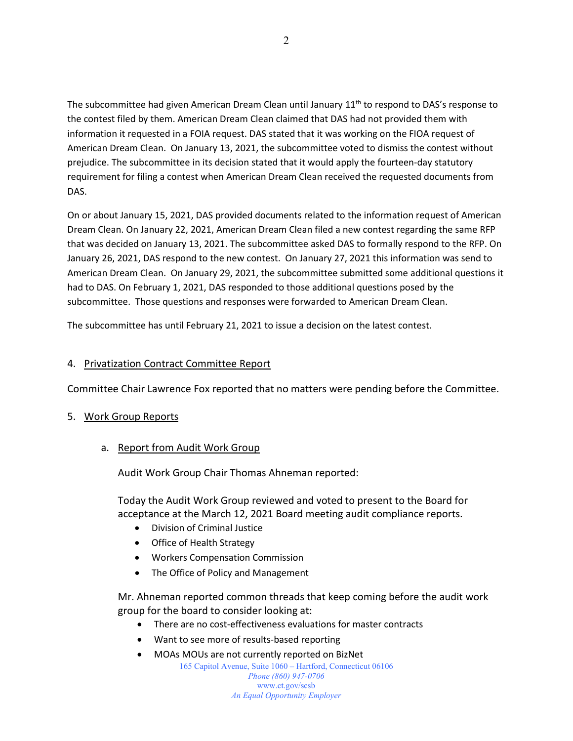The subcommittee had given American Dream Clean until January  $11<sup>th</sup>$  to respond to DAS's response to the contest filed by them. American Dream Clean claimed that DAS had not provided them with information it requested in a FOIA request. DAS stated that it was working on the FIOA request of American Dream Clean. On January 13, 2021, the subcommittee voted to dismiss the contest without prejudice. The subcommittee in its decision stated that it would apply the fourteen-day statutory requirement for filing a contest when American Dream Clean received the requested documents from DAS.

On or about January 15, 2021, DAS provided documents related to the information request of American Dream Clean. On January 22, 2021, American Dream Clean filed a new contest regarding the same RFP that was decided on January 13, 2021. The subcommittee asked DAS to formally respond to the RFP. On January 26, 2021, DAS respond to the new contest. On January 27, 2021 this information was send to American Dream Clean. On January 29, 2021, the subcommittee submitted some additional questions it had to DAS. On February 1, 2021, DAS responded to those additional questions posed by the subcommittee. Those questions and responses were forwarded to American Dream Clean.

The subcommittee has until February 21, 2021 to issue a decision on the latest contest.

#### 4. Privatization Contract Committee Report

Committee Chair Lawrence Fox reported that no matters were pending before the Committee.

## 5. Work Group Reports

a. Report from Audit Work Group

Audit Work Group Chair Thomas Ahneman reported:

Today the Audit Work Group reviewed and voted to present to the Board for acceptance at the March 12, 2021 Board meeting audit compliance reports.

- Division of Criminal Justice
- Office of Health Strategy
- Workers Compensation Commission
- The Office of Policy and Management

Mr. Ahneman reported common threads that keep coming before the audit work group for the board to consider looking at:

- There are no cost-effectiveness evaluations for master contracts
- Want to see more of results-based reporting
- MOAs MOUs are not currently reported on BizNet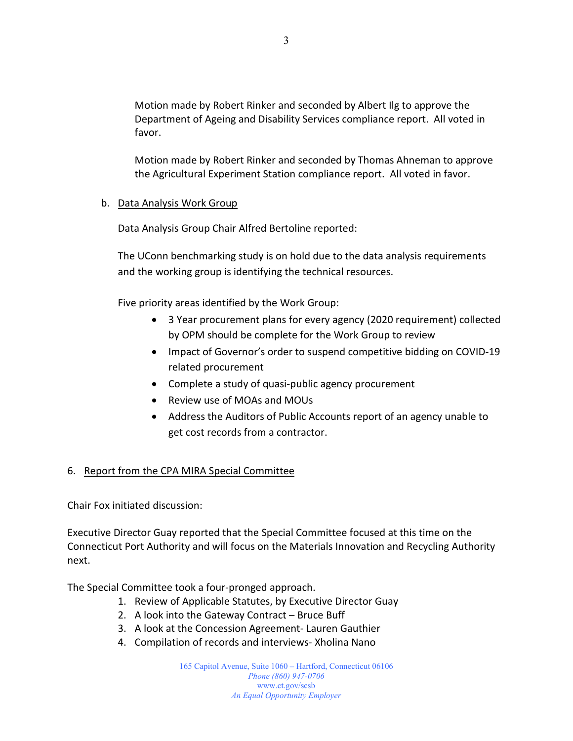Motion made by Robert Rinker and seconded by Albert Ilg to approve the Department of Ageing and Disability Services compliance report. All voted in favor.

Motion made by Robert Rinker and seconded by Thomas Ahneman to approve the Agricultural Experiment Station compliance report. All voted in favor.

# b. Data Analysis Work Group

Data Analysis Group Chair Alfred Bertoline reported:

The UConn benchmarking study is on hold due to the data analysis requirements and the working group is identifying the technical resources.

Five priority areas identified by the Work Group:

- 3 Year procurement plans for every agency (2020 requirement) collected by OPM should be complete for the Work Group to review
- Impact of Governor's order to suspend competitive bidding on COVID-19 related procurement
- Complete a study of quasi-public agency procurement
- Review use of MOAs and MOUs
- Address the Auditors of Public Accounts report of an agency unable to get cost records from a contractor.

# 6. Report from the CPA MIRA Special Committee

Chair Fox initiated discussion:

Executive Director Guay reported that the Special Committee focused at this time on the Connecticut Port Authority and will focus on the Materials Innovation and Recycling Authority next.

The Special Committee took a four-pronged approach.

- 1. Review of Applicable Statutes, by Executive Director Guay
- 2. A look into the Gateway Contract Bruce Buff
- 3. A look at the Concession Agreement- Lauren Gauthier
- 4. Compilation of records and interviews- Xholina Nano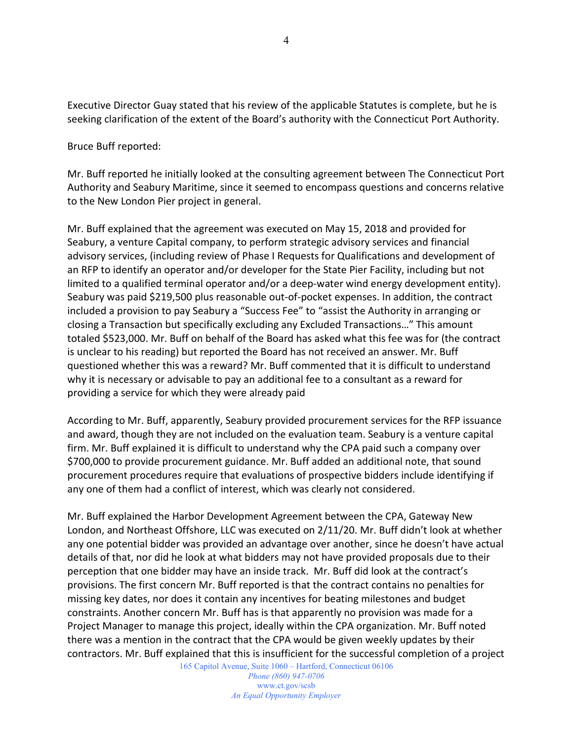Executive Director Guay stated that his review of the applicable Statutes is complete, but he is seeking clarification of the extent of the Board's authority with the Connecticut Port Authority.

Bruce Buff reported:

Mr. Buff reported he initially looked at the consulting agreement between The Connecticut Port Authority and Seabury Maritime, since it seemed to encompass questions and concerns relative to the New London Pier project in general.

Mr. Buff explained that the agreement was executed on May 15, 2018 and provided for Seabury, a venture Capital company, to perform strategic advisory services and financial advisory services, (including review of Phase I Requests for Qualifications and development of an RFP to identify an operator and/or developer for the State Pier Facility, including but not limited to a qualified terminal operator and/or a deep-water wind energy development entity). Seabury was paid \$219,500 plus reasonable out-of-pocket expenses. In addition, the contract included a provision to pay Seabury a "Success Fee" to "assist the Authority in arranging or closing a Transaction but specifically excluding any Excluded Transactions…" This amount totaled \$523,000. Mr. Buff on behalf of the Board has asked what this fee was for (the contract is unclear to his reading) but reported the Board has not received an answer. Mr. Buff questioned whether this was a reward? Mr. Buff commented that it is difficult to understand why it is necessary or advisable to pay an additional fee to a consultant as a reward for providing a service for which they were already paid

According to Mr. Buff, apparently, Seabury provided procurement services for the RFP issuance and award, though they are not included on the evaluation team. Seabury is a venture capital firm. Mr. Buff explained it is difficult to understand why the CPA paid such a company over \$700,000 to provide procurement guidance. Mr. Buff added an additional note, that sound procurement procedures require that evaluations of prospective bidders include identifying if any one of them had a conflict of interest, which was clearly not considered.

Mr. Buff explained the Harbor Development Agreement between the CPA, Gateway New London, and Northeast Offshore, LLC was executed on 2/11/20. Mr. Buff didn't look at whether any one potential bidder was provided an advantage over another, since he doesn't have actual details of that, nor did he look at what bidders may not have provided proposals due to their perception that one bidder may have an inside track. Mr. Buff did look at the contract's provisions. The first concern Mr. Buff reported is that the contract contains no penalties for missing key dates, nor does it contain any incentives for beating milestones and budget constraints. Another concern Mr. Buff has is that apparently no provision was made for a Project Manager to manage this project, ideally within the CPA organization. Mr. Buff noted there was a mention in the contract that the CPA would be given weekly updates by their contractors. Mr. Buff explained that this is insufficient for the successful completion of a project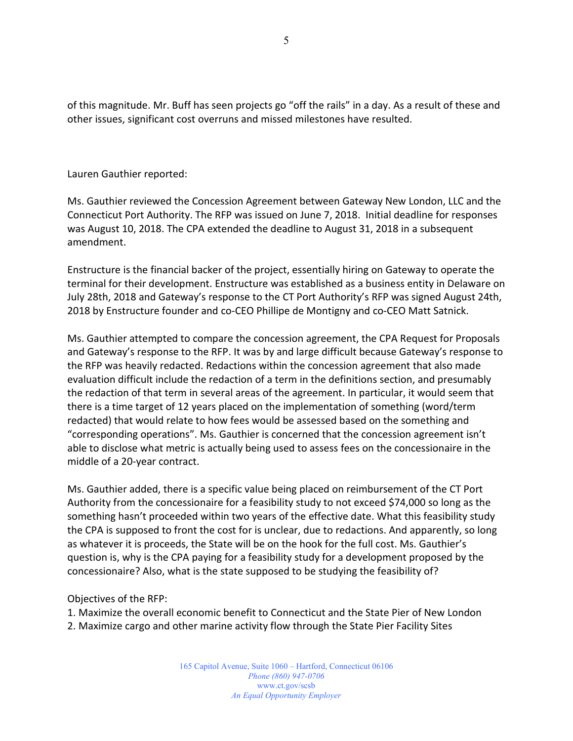of this magnitude. Mr. Buff has seen projects go "off the rails" in a day. As a result of these and other issues, significant cost overruns and missed milestones have resulted.

Lauren Gauthier reported:

Ms. Gauthier reviewed the Concession Agreement between Gateway New London, LLC and the Connecticut Port Authority. The RFP was issued on June 7, 2018. Initial deadline for responses was August 10, 2018. The CPA extended the deadline to August 31, 2018 in a subsequent amendment.

Enstructure is the financial backer of the project, essentially hiring on Gateway to operate the terminal for their development. Enstructure was established as a business entity in Delaware on July 28th, 2018 and Gateway's response to the CT Port Authority's RFP was signed August 24th, 2018 by Enstructure founder and co-CEO Phillipe de Montigny and co-CEO Matt Satnick.

Ms. Gauthier attempted to compare the concession agreement, the CPA Request for Proposals and Gateway's response to the RFP. It was by and large difficult because Gateway's response to the RFP was heavily redacted. Redactions within the concession agreement that also made evaluation difficult include the redaction of a term in the definitions section, and presumably the redaction of that term in several areas of the agreement. In particular, it would seem that there is a time target of 12 years placed on the implementation of something (word/term redacted) that would relate to how fees would be assessed based on the something and "corresponding operations". Ms. Gauthier is concerned that the concession agreement isn't able to disclose what metric is actually being used to assess fees on the concessionaire in the middle of a 20-year contract.

Ms. Gauthier added, there is a specific value being placed on reimbursement of the CT Port Authority from the concessionaire for a feasibility study to not exceed \$74,000 so long as the something hasn't proceeded within two years of the effective date. What this feasibility study the CPA is supposed to front the cost for is unclear, due to redactions. And apparently, so long as whatever it is proceeds, the State will be on the hook for the full cost. Ms. Gauthier's question is, why is the CPA paying for a feasibility study for a development proposed by the concessionaire? Also, what is the state supposed to be studying the feasibility of?

Objectives of the RFP:

- 1. Maximize the overall economic benefit to Connecticut and the State Pier of New London
- 2. Maximize cargo and other marine activity flow through the State Pier Facility Sites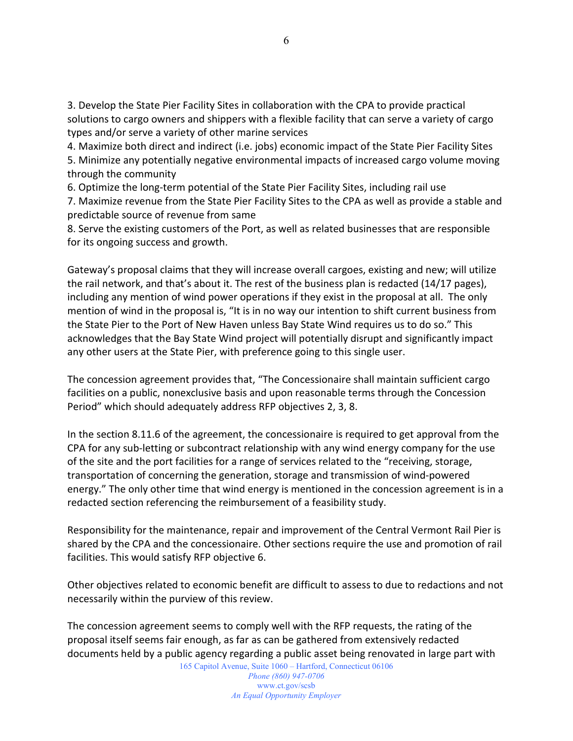3. Develop the State Pier Facility Sites in collaboration with the CPA to provide practical solutions to cargo owners and shippers with a flexible facility that can serve a variety of cargo types and/or serve a variety of other marine services

4. Maximize both direct and indirect (i.e. jobs) economic impact of the State Pier Facility Sites 5. Minimize any potentially negative environmental impacts of increased cargo volume moving through the community

6. Optimize the long-term potential of the State Pier Facility Sites, including rail use

7. Maximize revenue from the State Pier Facility Sites to the CPA as well as provide a stable and predictable source of revenue from same

8. Serve the existing customers of the Port, as well as related businesses that are responsible for its ongoing success and growth.

Gateway's proposal claims that they will increase overall cargoes, existing and new; will utilize the rail network, and that's about it. The rest of the business plan is redacted (14/17 pages), including any mention of wind power operations if they exist in the proposal at all. The only mention of wind in the proposal is, "It is in no way our intention to shift current business from the State Pier to the Port of New Haven unless Bay State Wind requires us to do so." This acknowledges that the Bay State Wind project will potentially disrupt and significantly impact any other users at the State Pier, with preference going to this single user.

The concession agreement provides that, "The Concessionaire shall maintain sufficient cargo facilities on a public, nonexclusive basis and upon reasonable terms through the Concession Period" which should adequately address RFP objectives 2, 3, 8.

In the section 8.11.6 of the agreement, the concessionaire is required to get approval from the CPA for any sub-letting or subcontract relationship with any wind energy company for the use of the site and the port facilities for a range of services related to the "receiving, storage, transportation of concerning the generation, storage and transmission of wind-powered energy." The only other time that wind energy is mentioned in the concession agreement is in a redacted section referencing the reimbursement of a feasibility study.

Responsibility for the maintenance, repair and improvement of the Central Vermont Rail Pier is shared by the CPA and the concessionaire. Other sections require the use and promotion of rail facilities. This would satisfy RFP objective 6.

Other objectives related to economic benefit are difficult to assess to due to redactions and not necessarily within the purview of this review.

The concession agreement seems to comply well with the RFP requests, the rating of the proposal itself seems fair enough, as far as can be gathered from extensively redacted documents held by a public agency regarding a public asset being renovated in large part with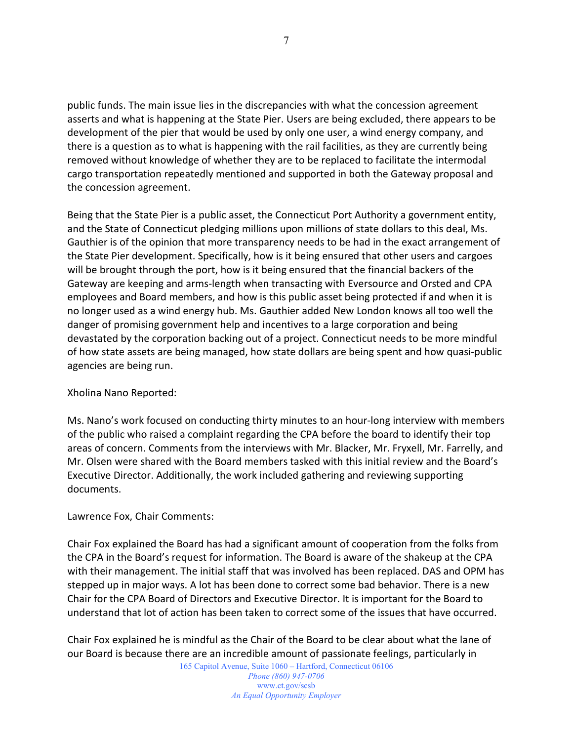public funds. The main issue lies in the discrepancies with what the concession agreement asserts and what is happening at the State Pier. Users are being excluded, there appears to be development of the pier that would be used by only one user, a wind energy company, and there is a question as to what is happening with the rail facilities, as they are currently being removed without knowledge of whether they are to be replaced to facilitate the intermodal cargo transportation repeatedly mentioned and supported in both the Gateway proposal and the concession agreement.

Being that the State Pier is a public asset, the Connecticut Port Authority a government entity, and the State of Connecticut pledging millions upon millions of state dollars to this deal, Ms. Gauthier is of the opinion that more transparency needs to be had in the exact arrangement of the State Pier development. Specifically, how is it being ensured that other users and cargoes will be brought through the port, how is it being ensured that the financial backers of the Gateway are keeping and arms-length when transacting with Eversource and Orsted and CPA employees and Board members, and how is this public asset being protected if and when it is no longer used as a wind energy hub. Ms. Gauthier added New London knows all too well the danger of promising government help and incentives to a large corporation and being devastated by the corporation backing out of a project. Connecticut needs to be more mindful of how state assets are being managed, how state dollars are being spent and how quasi-public agencies are being run.

## Xholina Nano Reported:

Ms. Nano's work focused on conducting thirty minutes to an hour-long interview with members of the public who raised a complaint regarding the CPA before the board to identify their top areas of concern. Comments from the interviews with Mr. Blacker, Mr. Fryxell, Mr. Farrelly, and Mr. Olsen were shared with the Board members tasked with this initial review and the Board's Executive Director. Additionally, the work included gathering and reviewing supporting documents.

#### Lawrence Fox, Chair Comments:

Chair Fox explained the Board has had a significant amount of cooperation from the folks from the CPA in the Board's request for information. The Board is aware of the shakeup at the CPA with their management. The initial staff that was involved has been replaced. DAS and OPM has stepped up in major ways. A lot has been done to correct some bad behavior. There is a new Chair for the CPA Board of Directors and Executive Director. It is important for the Board to understand that lot of action has been taken to correct some of the issues that have occurred.

Chair Fox explained he is mindful as the Chair of the Board to be clear about what the lane of our Board is because there are an incredible amount of passionate feelings, particularly in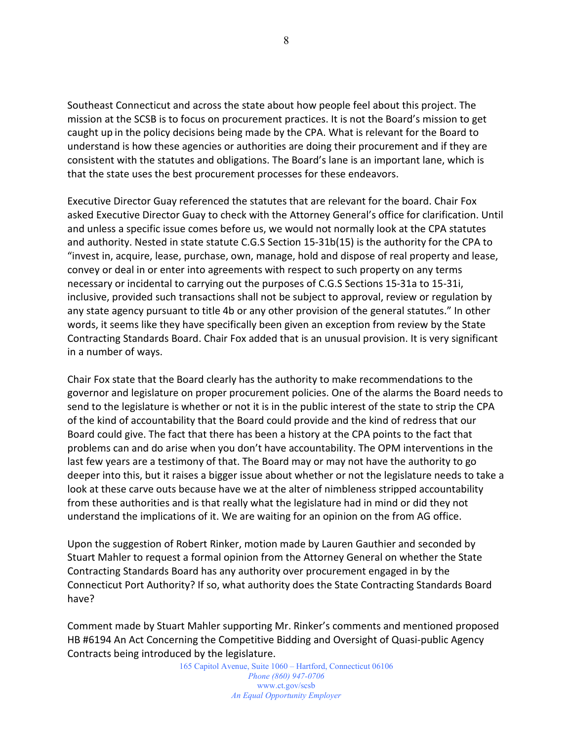Southeast Connecticut and across the state about how people feel about this project. The mission at the SCSB is to focus on procurement practices. It is not the Board's mission to get caught up in the policy decisions being made by the CPA. What is relevant for the Board to understand is how these agencies or authorities are doing their procurement and if they are consistent with the statutes and obligations. The Board's lane is an important lane, which is that the state uses the best procurement processes for these endeavors.

Executive Director Guay referenced the statutes that are relevant for the board. Chair Fox asked Executive Director Guay to check with the Attorney General's office for clarification. Until and unless a specific issue comes before us, we would not normally look at the CPA statutes and authority. Nested in state statute C.G.S Section 15-31b(15) is the authority for the CPA to "invest in, acquire, lease, purchase, own, manage, hold and dispose of real property and lease, convey or deal in or enter into agreements with respect to such property on any terms necessary or incidental to carrying out the purposes of C.G.S Sections 15-31a to 15-31i, inclusive, provided such transactions shall not be subject to approval, review or regulation by any state agency pursuant to title 4b or any other provision of the general statutes." In other words, it seems like they have specifically been given an exception from review by the State Contracting Standards Board. Chair Fox added that is an unusual provision. It is very significant in a number of ways.

Chair Fox state that the Board clearly has the authority to make recommendations to the governor and legislature on proper procurement policies. One of the alarms the Board needs to send to the legislature is whether or not it is in the public interest of the state to strip the CPA of the kind of accountability that the Board could provide and the kind of redress that our Board could give. The fact that there has been a history at the CPA points to the fact that problems can and do arise when you don't have accountability. The OPM interventions in the last few years are a testimony of that. The Board may or may not have the authority to go deeper into this, but it raises a bigger issue about whether or not the legislature needs to take a look at these carve outs because have we at the alter of nimbleness stripped accountability from these authorities and is that really what the legislature had in mind or did they not understand the implications of it. We are waiting for an opinion on the from AG office.

Upon the suggestion of Robert Rinker, motion made by Lauren Gauthier and seconded by Stuart Mahler to request a formal opinion from the Attorney General on whether the State Contracting Standards Board has any authority over procurement engaged in by the Connecticut Port Authority? If so, what authority does the State Contracting Standards Board have?

Comment made by Stuart Mahler supporting Mr. Rinker's comments and mentioned proposed HB #6194 An Act Concerning the Competitive Bidding and Oversight of Quasi-public Agency Contracts being introduced by the legislature.